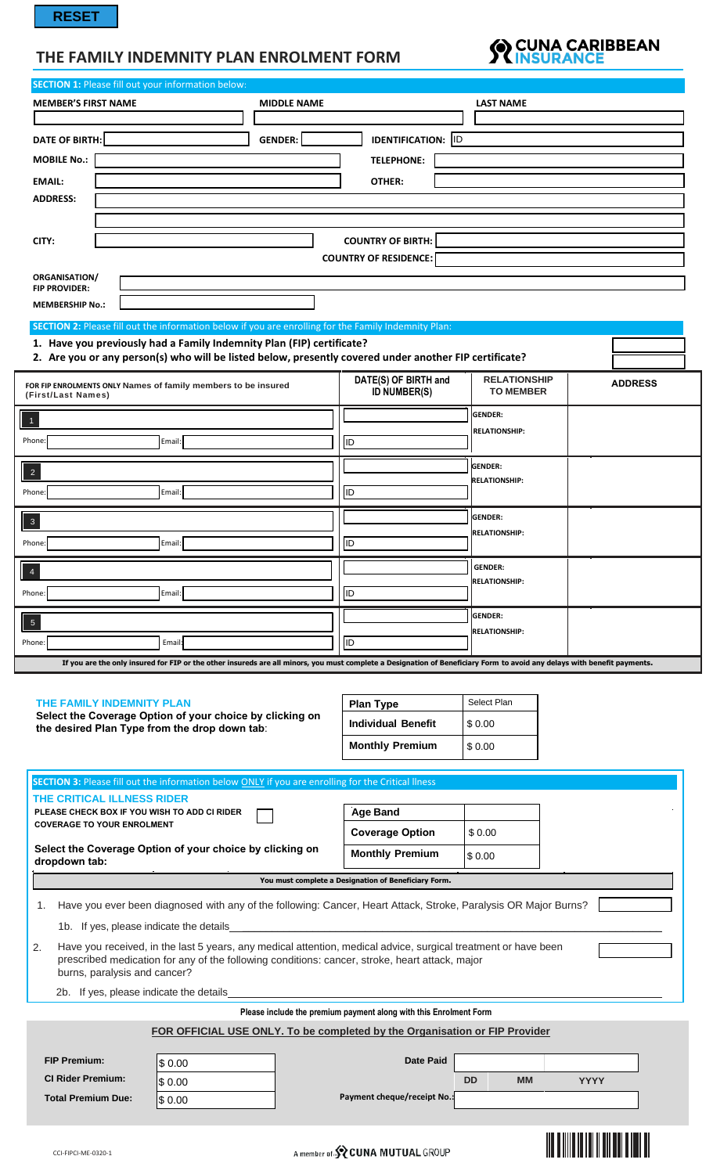# **THE FAMILY INDEMNITY PLAN ENROLMENT FORM**



|                                                                                                                                                                                                                        | <b>SECTION 1: Please fill out your information below:</b> |                                                                            |                                         |                |
|------------------------------------------------------------------------------------------------------------------------------------------------------------------------------------------------------------------------|-----------------------------------------------------------|----------------------------------------------------------------------------|-----------------------------------------|----------------|
| <b>MEMBER'S FIRST NAME</b>                                                                                                                                                                                             | <b>MIDDLE NAME</b>                                        |                                                                            | <b>LAST NAME</b>                        |                |
|                                                                                                                                                                                                                        |                                                           |                                                                            |                                         |                |
| <b>DATE OF BIRTH:</b>                                                                                                                                                                                                  | <b>GENDER:</b>                                            | <b>IDENTIFICATION:</b> ID                                                  |                                         |                |
| <b>MOBILE No.:</b>                                                                                                                                                                                                     |                                                           | <b>TELEPHONE:</b>                                                          |                                         |                |
| <b>EMAIL:</b>                                                                                                                                                                                                          |                                                           | OTHER:                                                                     |                                         |                |
| <b>ADDRESS:</b>                                                                                                                                                                                                        |                                                           |                                                                            |                                         |                |
|                                                                                                                                                                                                                        |                                                           |                                                                            |                                         |                |
| CITY:                                                                                                                                                                                                                  |                                                           | <b>COUNTRY OF BIRTH:</b>                                                   |                                         |                |
|                                                                                                                                                                                                                        |                                                           | <b>COUNTRY OF RESIDENCE:</b>                                               |                                         |                |
| <b>ORGANISATION/</b><br><b>FIP PROVIDER:</b>                                                                                                                                                                           |                                                           |                                                                            |                                         |                |
| <b>MEMBERSHIP No.:</b>                                                                                                                                                                                                 |                                                           |                                                                            |                                         |                |
| SECTION 2: Please fill out the information below if you are enrolling for the Family Indemnity Plan:                                                                                                                   |                                                           |                                                                            |                                         |                |
| 1. Have you previously had a Family Indemnity Plan (FIP) certificate?                                                                                                                                                  |                                                           |                                                                            |                                         |                |
| 2. Are you or any person(s) who will be listed below, presently covered under another FIP certificate?                                                                                                                 |                                                           |                                                                            |                                         |                |
| FOR FIP ENROLMENTS ONLY Names of family members to be insured<br>(First/Last Names)                                                                                                                                    |                                                           | DATE(S) OF BIRTH and<br><b>ID NUMBER(S)</b>                                | <b>RELATIONSHIP</b><br><b>TO MEMBER</b> | <b>ADDRESS</b> |
|                                                                                                                                                                                                                        |                                                           |                                                                            | <b>GENDER:</b>                          |                |
| Phone:<br>Email:                                                                                                                                                                                                       |                                                           | <b>ID</b>                                                                  | <b>RELATIONSHIP:</b>                    |                |
|                                                                                                                                                                                                                        |                                                           |                                                                            |                                         |                |
| $\overline{c}$                                                                                                                                                                                                         |                                                           |                                                                            | <b>GENDER:</b><br><b>RELATIONSHIP:</b>  |                |
| Phone:<br>Email:                                                                                                                                                                                                       |                                                           | ID.                                                                        |                                         |                |
|                                                                                                                                                                                                                        |                                                           |                                                                            | <b>GENDER:</b>                          |                |
| $\mathbf 3$                                                                                                                                                                                                            |                                                           |                                                                            | <b>RELATIONSHIP:</b>                    |                |
| Phone:<br>Email:                                                                                                                                                                                                       |                                                           | ID                                                                         |                                         |                |
| $\overline{4}$                                                                                                                                                                                                         |                                                           |                                                                            | <b>GENDER:</b>                          |                |
| Email:<br>Phone:                                                                                                                                                                                                       |                                                           | <b>ID</b>                                                                  | <b>RELATIONSHIP:</b>                    |                |
|                                                                                                                                                                                                                        |                                                           |                                                                            | <b>GENDER:</b>                          |                |
| $\overline{5}$                                                                                                                                                                                                         |                                                           |                                                                            | <b>RELATIONSHIP:</b>                    |                |
|                                                                                                                                                                                                                        |                                                           |                                                                            |                                         |                |
| Email:                                                                                                                                                                                                                 |                                                           | ID                                                                         |                                         |                |
| If you are the only insured for FIP or the other insureds are all minors, you must complete a Designation of Beneficiary Form to avoid any delays with benefit payments.                                               |                                                           |                                                                            |                                         |                |
|                                                                                                                                                                                                                        |                                                           |                                                                            |                                         |                |
| THE FAMILY INDEMNITY PLAN                                                                                                                                                                                              |                                                           | <b>Plan Type</b>                                                           | Select Plan                             |                |
| Select the Coverage Option of your choice by clicking on<br>the desired Plan Type from the drop down tab:                                                                                                              |                                                           | <b>Individual Benefit</b>                                                  | \$0.00                                  |                |
|                                                                                                                                                                                                                        |                                                           | <b>Monthly Premium</b>                                                     | \$0.00                                  |                |
|                                                                                                                                                                                                                        |                                                           |                                                                            |                                         |                |
| SECTION 3: Please fill out the information below ONLY if you are enrolling for the Critical llness                                                                                                                     |                                                           |                                                                            |                                         |                |
| THE CRITICAL ILLNESS RIDER<br>PLEASE CHECK BOX IF YOU WISH TO ADD CI RIDER                                                                                                                                             |                                                           | <b>Age Band</b>                                                            |                                         |                |
| <b>COVERAGE TO YOUR ENROLMENT</b>                                                                                                                                                                                      |                                                           |                                                                            |                                         |                |
| Select the Coverage Option of your choice by clicking on                                                                                                                                                               |                                                           | <b>Coverage Option</b>                                                     | \$0.00                                  |                |
| dropdown tab:                                                                                                                                                                                                          |                                                           | <b>Monthly Premium</b>                                                     | \$0.00                                  |                |
|                                                                                                                                                                                                                        |                                                           | You must complete a Designation of Beneficiary Form.                       |                                         |                |
| Have you ever been diagnosed with any of the following: Cancer, Heart Attack, Stroke, Paralysis OR Major Burns?<br>1.                                                                                                  |                                                           |                                                                            |                                         |                |
| 1b. If yes, please indicate the details                                                                                                                                                                                |                                                           |                                                                            |                                         |                |
| Have you received, in the last 5 years, any medical attention, medical advice, surgical treatment or have been<br>2.<br>prescribed medication for any of the following conditions: cancer, stroke, heart attack, major |                                                           |                                                                            |                                         |                |
| burns, paralysis and cancer?                                                                                                                                                                                           |                                                           |                                                                            |                                         |                |
| 2b. If yes, please indicate the details                                                                                                                                                                                |                                                           |                                                                            |                                         |                |
|                                                                                                                                                                                                                        |                                                           | Please include the premium payment along with this Enrolment Form          |                                         |                |
|                                                                                                                                                                                                                        |                                                           | FOR OFFICIAL USE ONLY. To be completed by the Organisation or FIP Provider |                                         |                |
| <b>FIP Premium:</b>                                                                                                                                                                                                    |                                                           | <b>Date Paid</b>                                                           |                                         |                |
| \$0.00<br><b>CI Rider Premium:</b>                                                                                                                                                                                     |                                                           |                                                                            | <b>DD</b><br><b>MM</b>                  | <b>YYYY</b>    |
| Phone:<br>\$0.00<br><b>Total Premium Due:</b>                                                                                                                                                                          |                                                           | Payment cheque/receipt No.:                                                |                                         |                |
| \$0.00                                                                                                                                                                                                                 |                                                           |                                                                            |                                         |                |